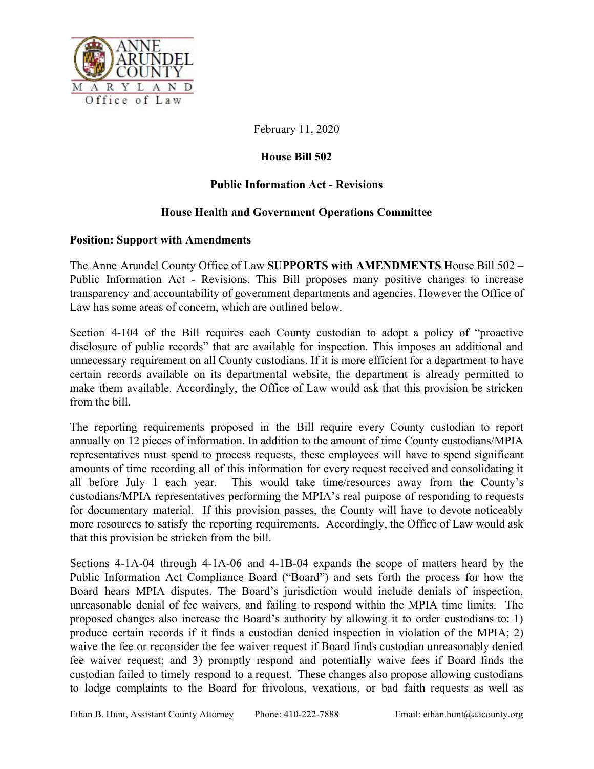

February 11, 2020

## **House Bill 502**

## **Public Information Act - Revisions**

## **House Health and Government Operations Committee**

## **Position: Support with Amendments**

The Anne Arundel County Office of Law **SUPPORTS with AMENDMENTS** House Bill 502 – Public Information Act - Revisions. This Bill proposes many positive changes to increase transparency and accountability of government departments and agencies. However the Office of Law has some areas of concern, which are outlined below.

Section 4-104 of the Bill requires each County custodian to adopt a policy of "proactive disclosure of public records" that are available for inspection. This imposes an additional and unnecessary requirement on all County custodians. If it is more efficient for a department to have certain records available on its departmental website, the department is already permitted to make them available. Accordingly, the Office of Law would ask that this provision be stricken from the bill.

The reporting requirements proposed in the Bill require every County custodian to report annually on 12 pieces of information. In addition to the amount of time County custodians/MPIA representatives must spend to process requests, these employees will have to spend significant amounts of time recording all of this information for every request received and consolidating it all before July 1 each year. This would take time/resources away from the County's custodians/MPIA representatives performing the MPIA's real purpose of responding to requests for documentary material. If this provision passes, the County will have to devote noticeably more resources to satisfy the reporting requirements. Accordingly, the Office of Law would ask that this provision be stricken from the bill.

Sections 4-1A-04 through 4-1A-06 and 4-1B-04 expands the scope of matters heard by the Public Information Act Compliance Board ("Board") and sets forth the process for how the Board hears MPIA disputes. The Board's jurisdiction would include denials of inspection, unreasonable denial of fee waivers, and failing to respond within the MPIA time limits. The proposed changes also increase the Board's authority by allowing it to order custodians to: 1) produce certain records if it finds a custodian denied inspection in violation of the MPIA; 2) waive the fee or reconsider the fee waiver request if Board finds custodian unreasonably denied fee waiver request; and 3) promptly respond and potentially waive fees if Board finds the custodian failed to timely respond to a request. These changes also propose allowing custodians to lodge complaints to the Board for frivolous, vexatious, or bad faith requests as well as